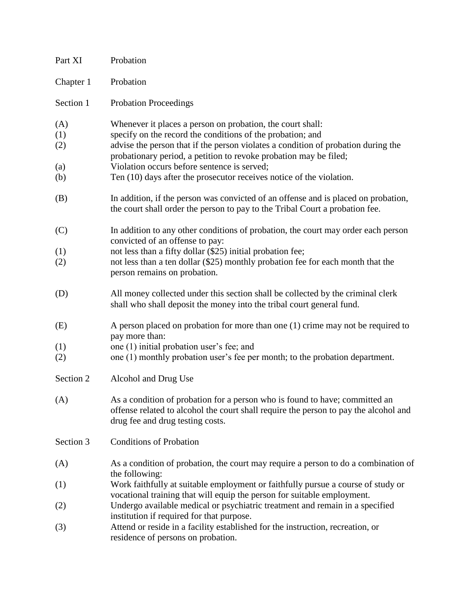| Part XI                         | Probation                                                                                                                                                                                                                                                                                                                                                                                                 |
|---------------------------------|-----------------------------------------------------------------------------------------------------------------------------------------------------------------------------------------------------------------------------------------------------------------------------------------------------------------------------------------------------------------------------------------------------------|
| Chapter 1                       | Probation                                                                                                                                                                                                                                                                                                                                                                                                 |
| Section 1                       | <b>Probation Proceedings</b>                                                                                                                                                                                                                                                                                                                                                                              |
| (A)<br>(1)<br>(2)<br>(a)<br>(b) | Whenever it places a person on probation, the court shall:<br>specify on the record the conditions of the probation; and<br>advise the person that if the person violates a condition of probation during the<br>probationary period, a petition to revoke probation may be filed;<br>Violation occurs before sentence is served;<br>Ten (10) days after the prosecutor receives notice of the violation. |
| (B)                             | In addition, if the person was convicted of an offense and is placed on probation,<br>the court shall order the person to pay to the Tribal Court a probation fee.                                                                                                                                                                                                                                        |
| (C)<br>(1)<br>(2)               | In addition to any other conditions of probation, the court may order each person<br>convicted of an offense to pay:<br>not less than a fifty dollar (\$25) initial probation fee;<br>not less than a ten dollar (\$25) monthly probation fee for each month that the<br>person remains on probation.                                                                                                     |
| (D)                             | All money collected under this section shall be collected by the criminal clerk<br>shall who shall deposit the money into the tribal court general fund.                                                                                                                                                                                                                                                  |
| (E)<br>(1)<br>(2)               | A person placed on probation for more than one (1) crime may not be required to<br>pay more than:<br>one (1) initial probation user's fee; and<br>one (1) monthly probation user's fee per month; to the probation department.                                                                                                                                                                            |
| Section 2                       | Alcohol and Drug Use                                                                                                                                                                                                                                                                                                                                                                                      |
| (A)                             | As a condition of probation for a person who is found to have; committed an<br>offense related to alcohol the court shall require the person to pay the alcohol and<br>drug fee and drug testing costs.                                                                                                                                                                                                   |
| Section 3                       | <b>Conditions of Probation</b>                                                                                                                                                                                                                                                                                                                                                                            |
| (A)                             | As a condition of probation, the court may require a person to do a combination of<br>the following:                                                                                                                                                                                                                                                                                                      |
| (1)                             | Work faithfully at suitable employment or faithfully pursue a course of study or<br>vocational training that will equip the person for suitable employment.                                                                                                                                                                                                                                               |
| (2)                             | Undergo available medical or psychiatric treatment and remain in a specified<br>institution if required for that purpose.                                                                                                                                                                                                                                                                                 |
| (3)                             | Attend or reside in a facility established for the instruction, recreation, or<br>residence of persons on probation.                                                                                                                                                                                                                                                                                      |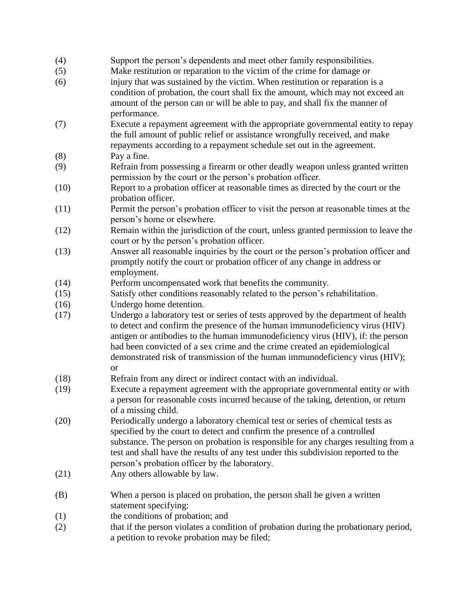## (4) Support the person's dependents and meet other family responsibilities.

- (5) Make restitution or reparation to the victim of the crime for damage or
- (6) injury that was sustained by the victim. When restitution or reparation is a condition of probation, the court shall fix the amount, which may not exceed an amount of the person can or will be able to pay, and shall fix the manner of performance.
- (7) Execute a repayment agreement with the appropriate governmental entity to repay the full amount of public relief or assistance wrongfully received, and make repayments according to a repayment schedule set out in the agreement.
- (8) Pay a fine.
- (9) Refrain from possessing a firearm or other deadly weapon unless granted written permission by the court or the person's probation officer.
- (10) Report to a probation officer at reasonable times as directed by the court or the probation officer.
- (11) Permit the person's probation officer to visit the person at reasonable times at the person's home or elsewhere.
- (12) Remain within the jurisdiction of the court, unless granted permission to leave the court or by the person's probation officer.
- (13) Answer all reasonable inquiries by the court or the person's probation officer and promptly notify the court or probation officer of any change in address or employment.
- (14) Perform uncompensated work that benefits the community.
- (15) Satisfy other conditions reasonably related to the person's rehabilitation.
- (16) Undergo home detention.
- (17) Undergo a laboratory test or series of tests approved by the department of health to detect and confirm the presence of the human immunodeficiency virus (HIV) antigen or antibodies to the human immunodeficiency virus (HIV), if: the person had been convicted of a sex crime and the crime created an epidemiological demonstrated risk of transmission of the human immunodeficiency virus (HIV); or
- (18) Refrain from any direct or indirect contact with an individual.
- (19) Execute a repayment agreement with the appropriate governmental entity or with a person for reasonable costs incurred because of the taking, detention, or return of a missing child.
- (20) Periodically undergo a laboratory chemical test or series of chemical tests as specified by the court to detect and confirm the presence of a controlled substance. The person on probation is responsible for any charges resulting from a test and shall have the results of any test under this subdivision reported to the person's probation officer by the laboratory.
- (21) Any others allowable by law.
- (B) When a person is placed on probation, the person shall be given a written statement specifying:
- (1) the conditions of probation; and
- (2) that if the person violates a condition of probation during the probationary period, a petition to revoke probation may be filed;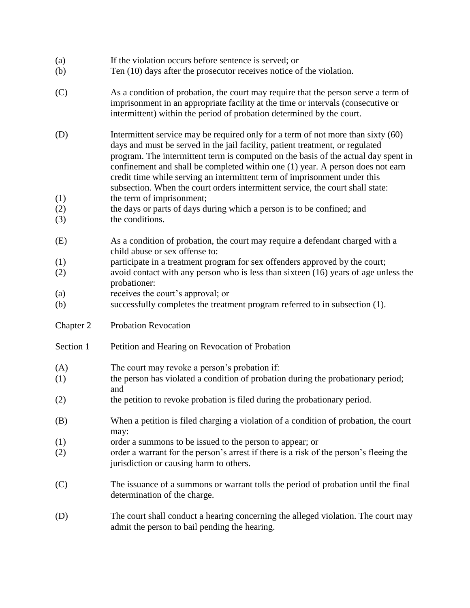| If the violation occurs before sentence is served; or<br>(a) |
|--------------------------------------------------------------|
|--------------------------------------------------------------|

- (b) Ten (10) days after the prosecutor receives notice of the violation.
- (C) As a condition of probation, the court may require that the person serve a term of imprisonment in an appropriate facility at the time or intervals (consecutive or intermittent) within the period of probation determined by the court.
- (D) Intermittent service may be required only for a term of not more than sixty (60) days and must be served in the jail facility, patient treatment, or regulated program. The intermittent term is computed on the basis of the actual day spent in confinement and shall be completed within one (1) year. A person does not earn credit time while serving an intermittent term of imprisonment under this subsection. When the court orders intermittent service, the court shall state:
- (1) the term of imprisonment;
- (2) the days or parts of days during which a person is to be confined; and
- (3) the conditions.
- (E) As a condition of probation, the court may require a defendant charged with a child abuse or sex offense to:
- (1) participate in a treatment program for sex offenders approved by the court;
- (2) avoid contact with any person who is less than sixteen (16) years of age unless the probationer:
- (a) receives the court's approval; or
- (b) successfully completes the treatment program referred to in subsection (1).
- Chapter 2 Probation Revocation
- Section 1 Petition and Hearing on Revocation of Probation
- (A) The court may revoke a person's probation if:
- (1) the person has violated a condition of probation during the probationary period; and
- (2) the petition to revoke probation is filed during the probationary period.
- (B) When a petition is filed charging a violation of a condition of probation, the court may:
- (1) order a summons to be issued to the person to appear; or
- (2) order a warrant for the person's arrest if there is a risk of the person's fleeing the jurisdiction or causing harm to others.
- (C) The issuance of a summons or warrant tolls the period of probation until the final determination of the charge.
- (D) The court shall conduct a hearing concerning the alleged violation. The court may admit the person to bail pending the hearing.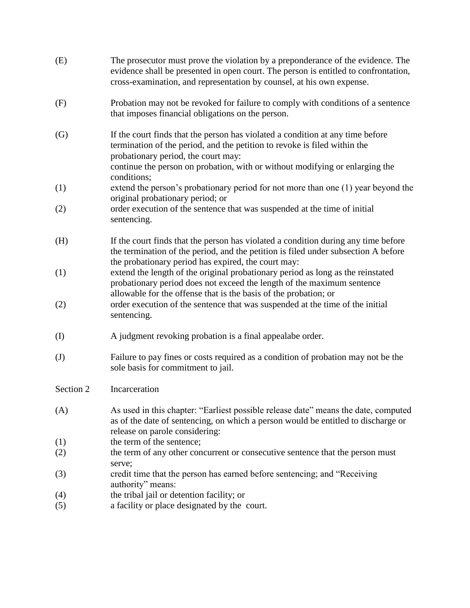| (E)          | The prosecutor must prove the violation by a preponderance of the evidence. The<br>evidence shall be presented in open court. The person is entitled to confrontation,<br>cross-examination, and representation by counsel, at his own expense.                                                   |
|--------------|---------------------------------------------------------------------------------------------------------------------------------------------------------------------------------------------------------------------------------------------------------------------------------------------------|
| (F)          | Probation may not be revoked for failure to comply with conditions of a sentence<br>that imposes financial obligations on the person.                                                                                                                                                             |
| (G)          | If the court finds that the person has violated a condition at any time before<br>termination of the period, and the petition to revoke is filed within the<br>probationary period, the court may:<br>continue the person on probation, with or without modifying or enlarging the<br>conditions; |
| (1)          | extend the person's probationary period for not more than one (1) year beyond the                                                                                                                                                                                                                 |
| (2)          | original probationary period; or<br>order execution of the sentence that was suspended at the time of initial<br>sentencing.                                                                                                                                                                      |
| (H)          | If the court finds that the person has violated a condition during any time before<br>the termination of the period, and the petition is filed under subsection A before<br>the probationary period has expired, the court may:                                                                   |
| (1)          | extend the length of the original probationary period as long as the reinstated<br>probationary period does not exceed the length of the maximum sentence                                                                                                                                         |
| (2)          | allowable for the offense that is the basis of the probation; or<br>order execution of the sentence that was suspended at the time of the initial<br>sentencing.                                                                                                                                  |
| (I)          | A judgment revoking probation is a final appealabe order.                                                                                                                                                                                                                                         |
| $\mathrm{J}$ | Failure to pay fines or costs required as a condition of probation may not be the<br>sole basis for commitment to jail.                                                                                                                                                                           |
| Section 2    | Incarceration                                                                                                                                                                                                                                                                                     |
| (A)          | As used in this chapter: "Earliest possible release date" means the date, computed<br>as of the date of sentencing, on which a person would be entitled to discharge or<br>release on parole considering:                                                                                         |
| (1)          | the term of the sentence;                                                                                                                                                                                                                                                                         |
| (2)          | the term of any other concurrent or consecutive sentence that the person must<br>serve;                                                                                                                                                                                                           |
| (3)          | credit time that the person has earned before sentencing; and "Receiving"<br>authority" means:                                                                                                                                                                                                    |
| (4)          | the tribal jail or detention facility; or                                                                                                                                                                                                                                                         |
| (5)          | a facility or place designated by the court.                                                                                                                                                                                                                                                      |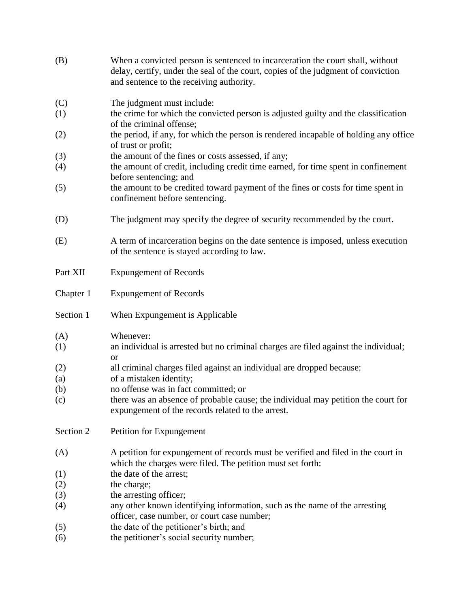| (B)        | When a convicted person is sentenced to incarceration the court shall, without<br>delay, certify, under the seal of the court, copies of the judgment of conviction<br>and sentence to the receiving authority. |
|------------|-----------------------------------------------------------------------------------------------------------------------------------------------------------------------------------------------------------------|
| (C)        | The judgment must include:                                                                                                                                                                                      |
| (1)        | the crime for which the convicted person is adjusted guilty and the classification<br>of the criminal offense;                                                                                                  |
| (2)        | the period, if any, for which the person is rendered incapable of holding any office<br>of trust or profit;                                                                                                     |
| (3)        | the amount of the fines or costs assessed, if any;                                                                                                                                                              |
| (4)        | the amount of credit, including credit time earned, for time spent in confinement<br>before sentencing; and                                                                                                     |
| (5)        | the amount to be credited toward payment of the fines or costs for time spent in<br>confinement before sentencing.                                                                                              |
| (D)        | The judgment may specify the degree of security recommended by the court.                                                                                                                                       |
| (E)        | A term of incarceration begins on the date sentence is imposed, unless execution<br>of the sentence is stayed according to law.                                                                                 |
| Part XII   | <b>Expungement of Records</b>                                                                                                                                                                                   |
| Chapter 1  | <b>Expungement of Records</b>                                                                                                                                                                                   |
|            |                                                                                                                                                                                                                 |
| Section 1  | When Expungement is Applicable                                                                                                                                                                                  |
| (A)        | Whenever:                                                                                                                                                                                                       |
| (1)        | an individual is arrested but no criminal charges are filed against the individual;<br><b>or</b>                                                                                                                |
| (2)        | all criminal charges filed against an individual are dropped because:                                                                                                                                           |
| (a)        | of a mistaken identity;                                                                                                                                                                                         |
| (b)        | no offense was in fact committed; or                                                                                                                                                                            |
| (c)        | there was an absence of probable cause; the individual may petition the court for<br>expungement of the records related to the arrest.                                                                          |
| Section 2  | Petition for Expungement                                                                                                                                                                                        |
| (A)        | A petition for expungement of records must be verified and filed in the court in                                                                                                                                |
| (1)        | which the charges were filed. The petition must set forth:<br>the date of the arrest;                                                                                                                           |
| (2)        | the charge;                                                                                                                                                                                                     |
| (3)        | the arresting officer;                                                                                                                                                                                          |
| (4)        | any other known identifying information, such as the name of the arresting<br>officer, case number, or court case number;                                                                                       |
| (5)<br>(6) | the date of the petitioner's birth; and<br>the petitioner's social security number;                                                                                                                             |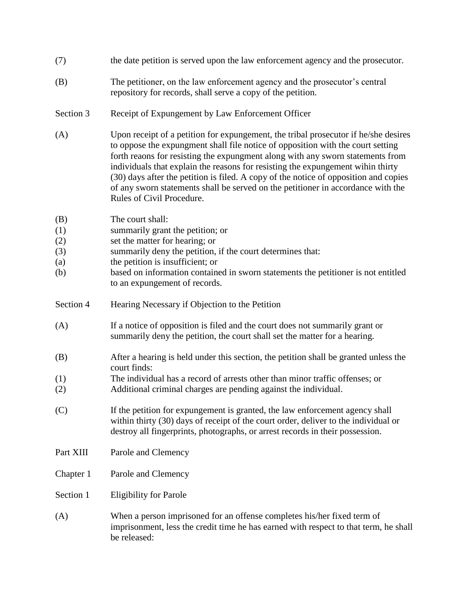- (7) the date petition is served upon the law enforcement agency and the prosecutor.
- (B) The petitioner, on the law enforcement agency and the prosecutor's central repository for records, shall serve a copy of the petition.
- Section 3 Receipt of Expungement by Law Enforcement Officer
- (A) Upon receipt of a petition for expungement, the tribal prosecutor if he/she desires to oppose the expungment shall file notice of opposition with the court setting forth reaons for resisting the expungment along with any sworn statements from individuals that explain the reasons for resisting the expungement wihin thirty (30) days after the petition is filed. A copy of the notice of opposition and copies of any sworn statements shall be served on the petitioner in accordance with the Rules of Civil Procedure.
- (B) The court shall:
- (1) summarily grant the petition; or
- (2) set the matter for hearing; or
- (3) summarily deny the petition, if the court determines that:
- (a) the petition is insufficient; or
- (b) based on information contained in sworn statements the petitioner is not entitled to an expungement of records.
- Section 4 Hearing Necessary if Objection to the Petition
- (A) If a notice of opposition is filed and the court does not summarily grant or summarily deny the petition, the court shall set the matter for a hearing.
- (B) After a hearing is held under this section, the petition shall be granted unless the court finds:
- (1) The individual has a record of arrests other than minor traffic offenses; or
- (2) Additional criminal charges are pending against the individual.
- (C) If the petition for expungement is granted, the law enforcement agency shall within thirty (30) days of receipt of the court order, deliver to the individual or destroy all fingerprints, photographs, or arrest records in their possession.
- Part XIII Parole and Clemency
- Chapter 1 Parole and Clemency
- Section 1 Eligibility for Parole
- (A) When a person imprisoned for an offense completes his/her fixed term of imprisonment, less the credit time he has earned with respect to that term, he shall be released: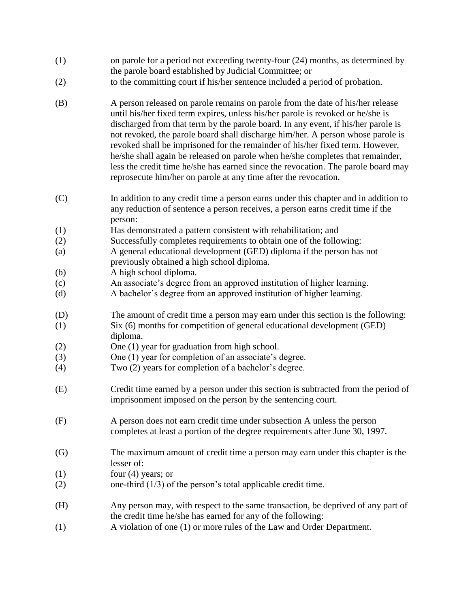- (1) on parole for a period not exceeding twenty-four (24) months, as determined by the parole board established by Judicial Committee; or
- (2) to the committing court if his/her sentence included a period of probation.
- (B) A person released on parole remains on parole from the date of his/her release until his/her fixed term expires, unless his/her parole is revoked or he/she is discharged from that term by the parole board. In any event, if his/her parole is not revoked, the parole board shall discharge him/her. A person whose parole is revoked shall be imprisoned for the remainder of his/her fixed term. However, he/she shall again be released on parole when he/she completes that remainder, less the credit time he/she has earned since the revocation. The parole board may reprosecute him/her on parole at any time after the revocation.
- (C) In addition to any credit time a person earns under this chapter and in addition to any reduction of sentence a person receives, a person earns credit time if the person:
- (1) Has demonstrated a pattern consistent with rehabilitation; and
- (2) Successfully completes requirements to obtain one of the following:
- (a) A general educational development (GED) diploma if the person has not previously obtained a high school diploma.
- (b) A high school diploma.
- (c) An associate's degree from an approved institution of higher learning.
- (d) A bachelor's degree from an approved institution of higher learning.
- (D) The amount of credit time a person may earn under this section is the following:
- (1) Six (6) months for competition of general educational development (GED) diploma.
- (2) One (1) year for graduation from high school.
- (3) One (1) year for completion of an associate's degree.
- (4) Two (2) years for completion of a bachelor's degree.
- (E) Credit time earned by a person under this section is subtracted from the period of imprisonment imposed on the person by the sentencing court.
- (F) A person does not earn credit time under subsection A unless the person completes at least a portion of the degree requirements after June 30, 1997.
- (G) The maximum amount of credit time a person may earn under this chapter is the lesser of:
- $f(1)$  four (4) years; or
- (2) one-third (1/3) of the person's total applicable credit time.
- (H) Any person may, with respect to the same transaction, be deprived of any part of the credit time he/she has earned for any of the following:
- (1) A violation of one (1) or more rules of the Law and Order Department.